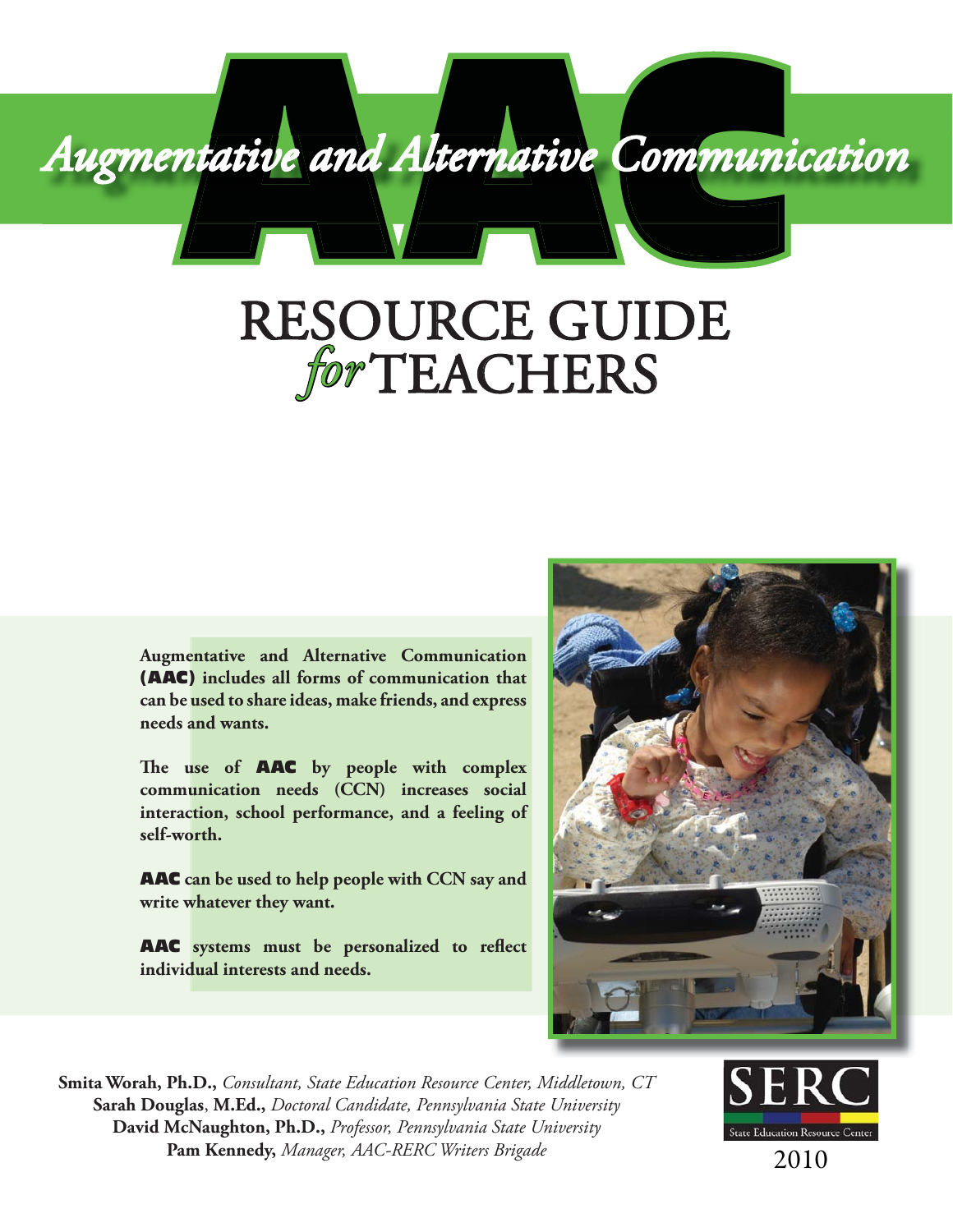

# RESOURCE GUIDE *for*TEACHERS

**Augmentative and Alternative Communication**  (AAC) **includes all forms of communication that can be used to share ideas, make friends, and express needs and wants.** 

The use of **AAC** by people with complex **communication needs (CCN) increases social interaction, school performance, and a feeling of self-worth.**

AAC **can be used to help people with CCN say and write whatever they want.** 

AAC systems must be personalized to reflect **individual interests and needs.**



**Smita Worah, Ph.D.,** *Consultant, State Education Resource Center, Middletown, CT* **Sarah Douglas**, **M.Ed.,** *Doctoral Candidate, Pennsylvania State University* **David McNaughton, Ph.D.,** *Professor, Pennsylvania State University*  **Pam Kennedy,** *Manager, AAC-RERC Writers Brigade*



2010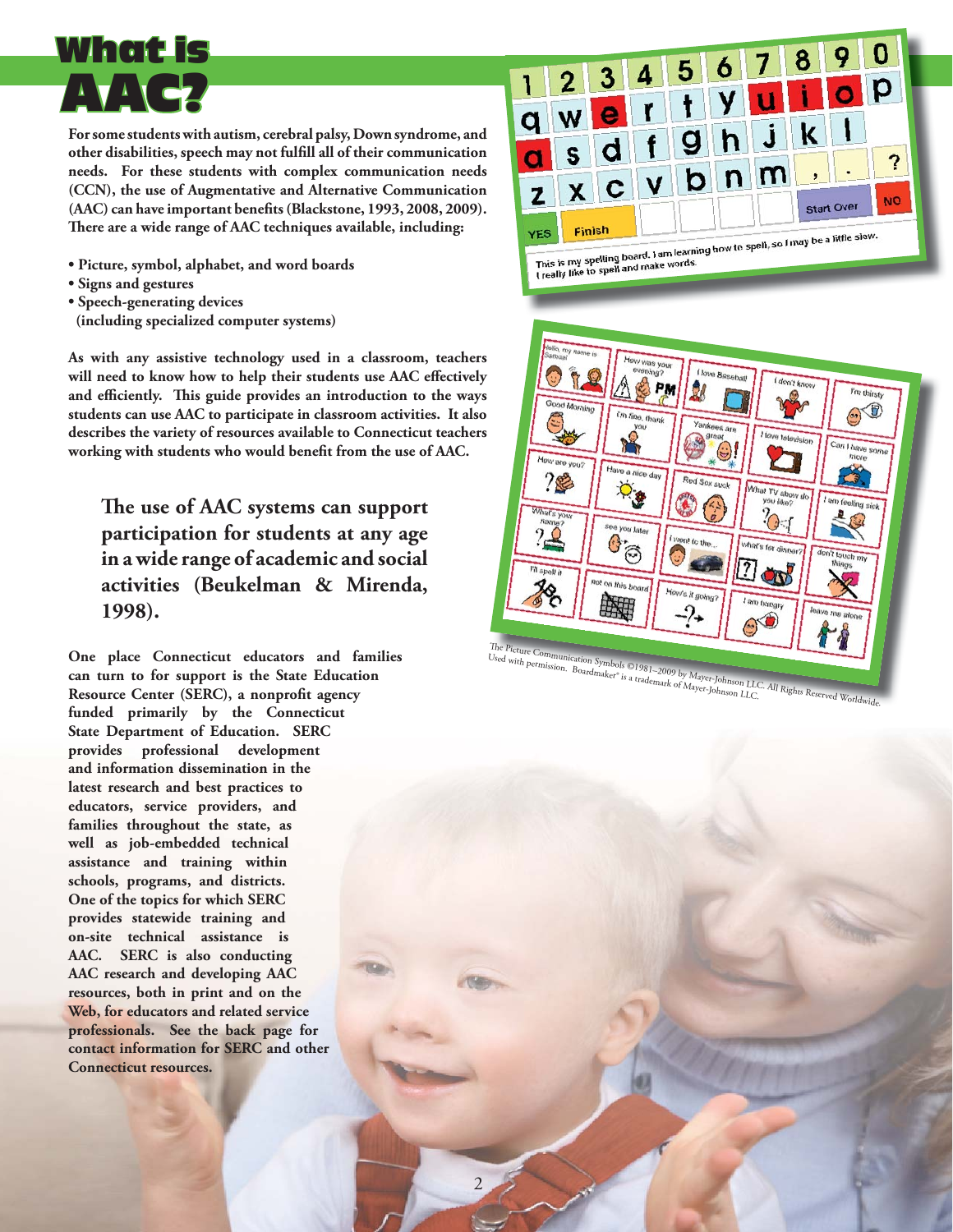## AAC? What is

**For some students with autism, cerebral palsy, Down syndrome, and**  other disabilities, speech may not fulfill all of their communication **needs. For these students with complex communication needs (CCN), the use of Augmentative and Alternative Communication**  (AAC) can have important benefits (Blackstone, 1993, 2008, 2009). There are a wide range of AAC techniques available, including:

- **Picture, symbol, alphabet, and word boards**
- **Signs and gestures**
- **Speech-generating devices**
- **(including specialized computer systems)**

**As with any assistive technology used in a classroom, teachers**  will need to know how to help their students use AAC effectively and efficiently. This guide provides an introduction to the ways **students can use AAC to participate in classroom activities. It also describes the variety of resources available to Connecticut teachers**  working with students who would benefit from the use of AAC.

The use of AAC systems can support **participation for students at any age in a wide range of academic and social activities (Beukelman & Mirenda, 1998).** 

**One place Connecticut educators and families can turn to for support is the State Education**  Resource Center (SERC), a nonprofit agency **funded primarily by the Connecticut State Department of Education. SERC provides professional development and information dissemination in the latest research and best practices to educators, service providers, and families throughout the state, as well as job-embedded technical assistance and training within schools, programs, and districts. One of the topics for which SERC provides statewide training and on-site technical assistance is AAC. SERC is also conducting AAC research and developing AAC resources, both in print and on the Web, for educators and related service professionals. See the back page for contact information for SERC and other Connecticut resources.**



The Picture Communication Symbols ©1981–2009 by Mayer-Johnson LLC. All Rights Reserved Worldwide.<br>Used with permission. Boardmaker\* is a trademark of Mayer-Johnson LLC. All Rights Reserved Worldwide. Ine Picture Communication Symbols ©1981–2009 by Mayer-Johnson LLC.<br>Used with permission. Boardmaker® is a trademark of Mayer-Johnson LLC.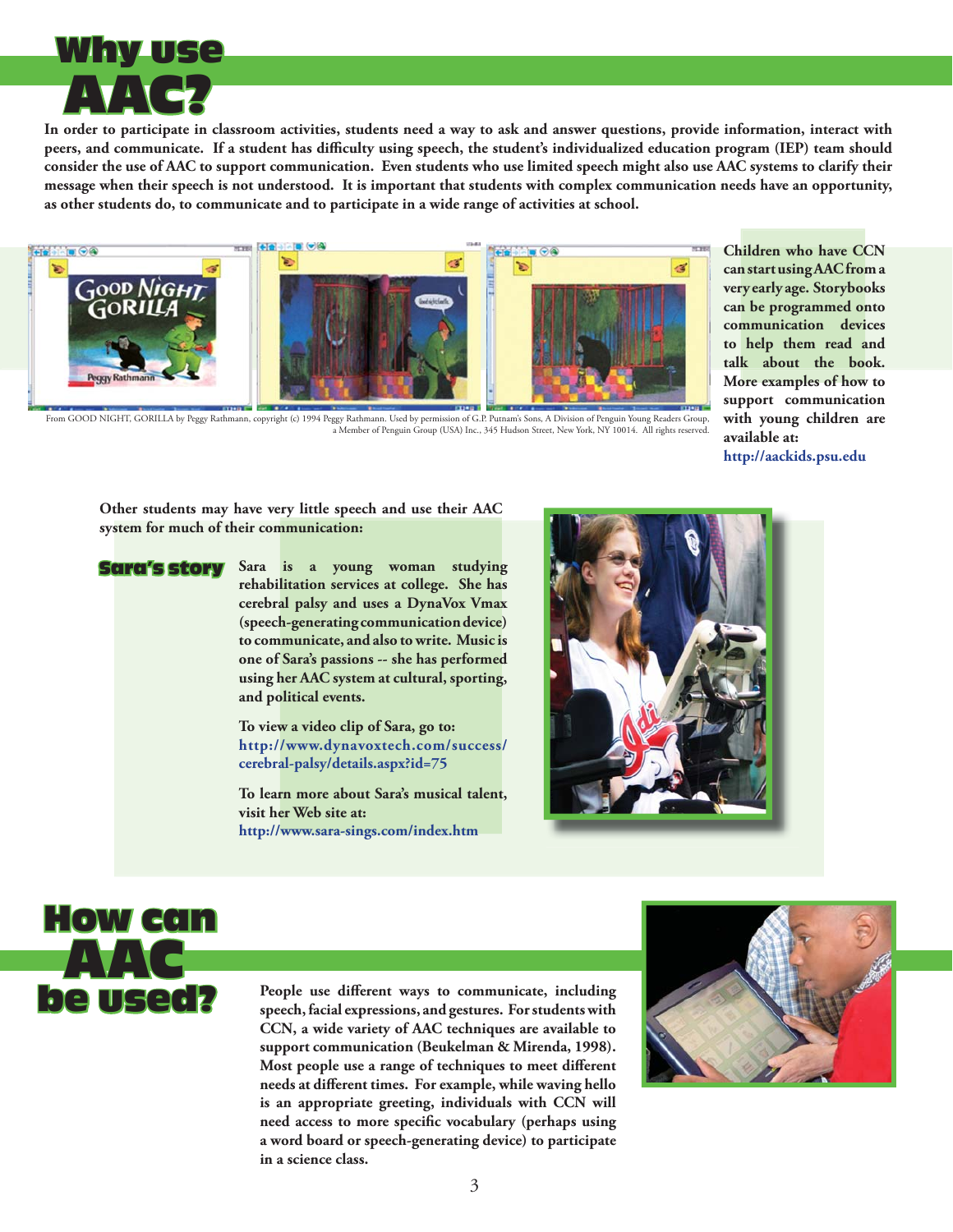

**In order to participate in classroom activities, students need a way to ask and answer questions, provide information, interact with**  peers, and communicate. If a student has difficulty using speech, the student's individualized education program (IEP) team should **consider the use of AAC to support communication. Even students who use limited speech might also use AAC systems to clarify their message when their speech is not understood. It is important that students with complex communication needs have an opportunity, as other students do, to communicate and to participate in a wide range of activities at school.** 



From GOOD NIGHT, GORILLA by Peggy Rathmann, copyright (c) 1994 Peggy Rathmann. Used by permission of G.P. Putnam's Sons, A Division of Penguin Young Readers Group,<br>a Member of Penguin Group (USA) Inc., 345 Hudson Street, N

**Children who have CCN can start using AAC from a very early age. Storybooks can be programmed onto communication devices to help them read and talk about the book. More examples of how to support communication with young children are available at:**

**<http://aackids.psu.edu>**

**Other students may have very little speech and use their AAC system for much of their communication:**

Sara's story

**Sara is a young woman studying rehabilitation services at college. She has cerebral palsy and uses a DynaVox Vmax (speech-generating communication device) to communicate, and also to write. Music is one of Sara's passions -- she has performed using her AAC system at cultural, sporting, and political events.** 

**To view a video clip of Sara, go to: [http://www.dynavoxtech.com/success/](http://www.dynavoxtech.com/success/cerebral-palsy/details.aspx?id=75) cerebral-palsy/details.aspx?id=75**

**To learn more about Sara's musical talent, visit her Web site at: <http://www.sara-sings.com/index.htm>**





People use different ways to communicate, including **speech, facial expressions, and gestures. For students with CCN, a wide variety of AAC techniques are available to support communication (Beukelman & Mirenda, 1998).**  Most people use a range of techniques to meet different **needs at diff erent times. For example, while waving hello is an appropriate greeting, individuals with CCN will**  need access to more specific vocabulary (perhaps using **a word board or speech-generating device) to participate in a science class.**

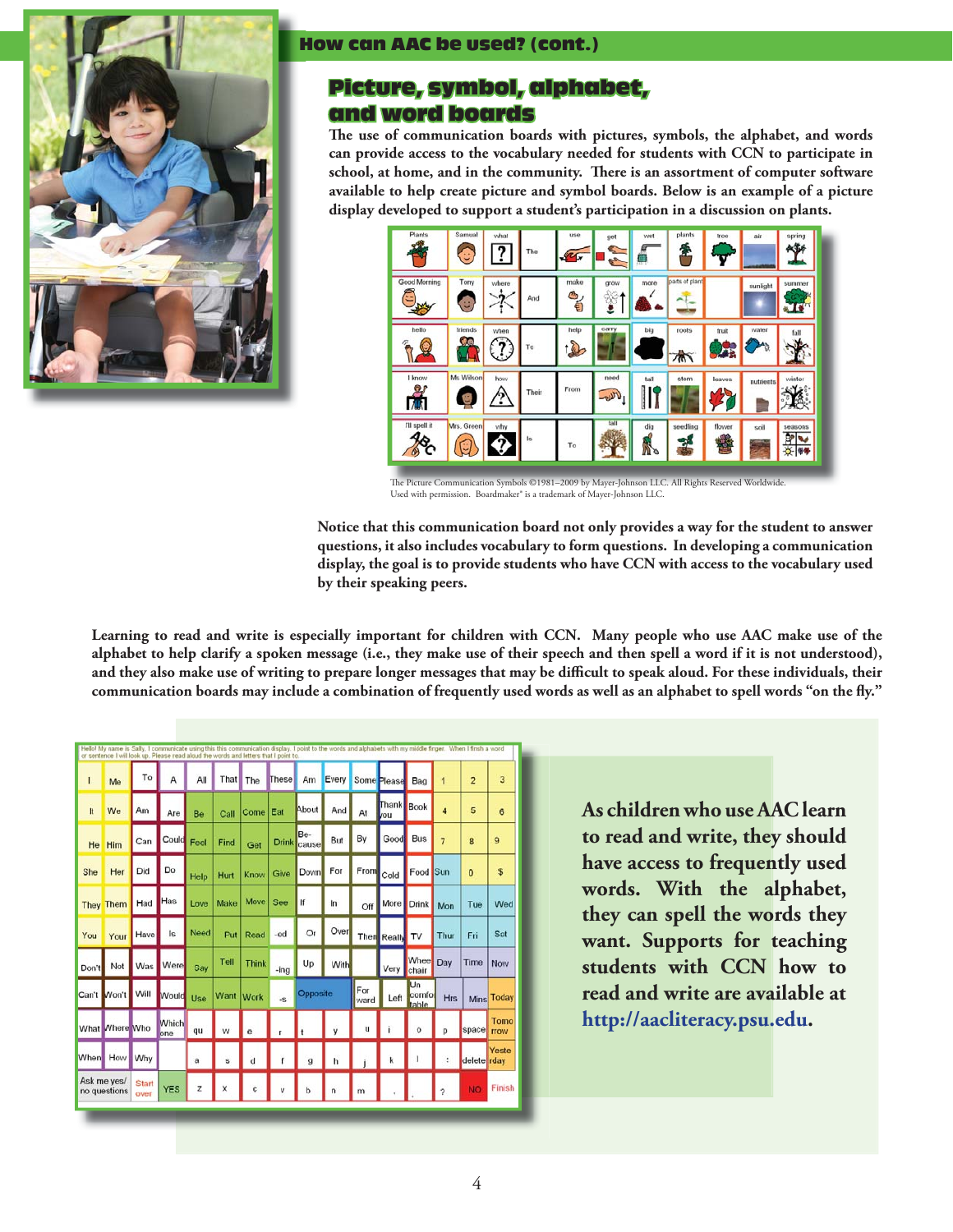

### How can AAC be used? (cont.)

### Picture, symbol, alphabet, and word boards

The use of communication boards with pictures, symbols, the alphabet, and words **can provide access to the vocabulary needed for students with CCN to participate in**  school, at home, and in the community. There is an assortment of computer software **available to help create picture and symbol boards. Below is an example of a picture display developed to support a student's participation in a discussion on plants.** 



The Picture Communication Symbols ©1981–2009 by Mayer-Johnson LLC. Used with permission. Boardmaker® is a trademark of Mayer-Johnson LLC.

**Notice that this communication board not only provides a way for the student to answer questions, it also includes vocabulary to form questions. In developing a communication display, the goal is to provide students who have CCN with access to the vocabulary used by their speaking peers.**

**Learning to read and write is especially important for children with CCN. Many people who use AAC make use of the alphabet to help clarify a spoken message (i.e., they make use of their speech and then spell a word if it is not understood),**  and they also make use of writing to prepare longer messages that may be difficult to speak aloud. For these individuals, their communication boards may include a combination of frequently used words as well as an alphabet to spell words "on the fly."

| ı                           | Me               | To                   | A            | All  | That      | The         | These        | Am           | Every | Some Please |              | Bag                  | r              | $\overline{c}$ | 3          |
|-----------------------------|------------------|----------------------|--------------|------|-----------|-------------|--------------|--------------|-------|-------------|--------------|----------------------|----------------|----------------|------------|
| It                          | We               | Am                   | Are          | Be   | Call      | Come Eat    |              | About        | And   | At          | Thank<br>vou | <b>Book</b>          | $\overline{4}$ | 5              | 6          |
| He                          | Him              | Can                  | Could        | Feel | Find      | Get         | <b>Drink</b> | Be-<br>cause | But   | By          | Good         | <b>Bus</b>           | 7              | 8              | 9          |
| She                         | Her              | Did                  | Do           | Help | Hurt      | Know        | Give         | <b>Down</b>  | For   | From        | Cold         | Food                 | Sun            | $\mathbf{0}$   | \$         |
|                             | <b>They Them</b> | Had                  | Has          | Love | Make      | <b>Move</b> | See          | lf           | In    | Off         | More         | <b>Drink</b>         | Mon            | Tue            | Wed        |
| You                         | Your             | Have                 | Is           | Need | Put       | Read        | -ed          | Or           | Over  |             | Then Really  | TV                   | Thur           | Fri            | Sat        |
| Don't                       | Not              | Was                  | Were         | Say  | Tell      | Think       | $-$ ing      | Up           | With  |             | Very         | Whee<br>chair        | Day            | Time           | Now        |
| Can't                       | Won't            | Will                 | Would        | Use  | Want Work |             | $-8$         | Opposite     |       | For<br>ward | Left         | Un<br>comfo<br>table | <b>Hrs</b>     |                | Mins Today |
|                             | What Mhere Who   |                      | Which<br>one | qu   | w         |             |              |              |       | u           |              | o                    |                | space rrow     | Tomo       |
| When.                       | How              | Why                  |              | a    | ś         |             |              |              |       |             |              |                      |                | delete rday    | Yeste      |
| Ask me yes/<br>no questions |                  | <b>Start</b><br>over | <b>YES</b>   | z    | x         |             |              |              |       |             |              |                      | 2              | <b>NO</b>      | Finish     |

**As children who use AAC learn to read and write, they should have access to frequently used words. With the alphabet, they can spell the words they want. Supports for teaching students with CCN how to read and write are available at [http://aacliteracy.psu.edu.](http://aacliteracy.psu.edu)**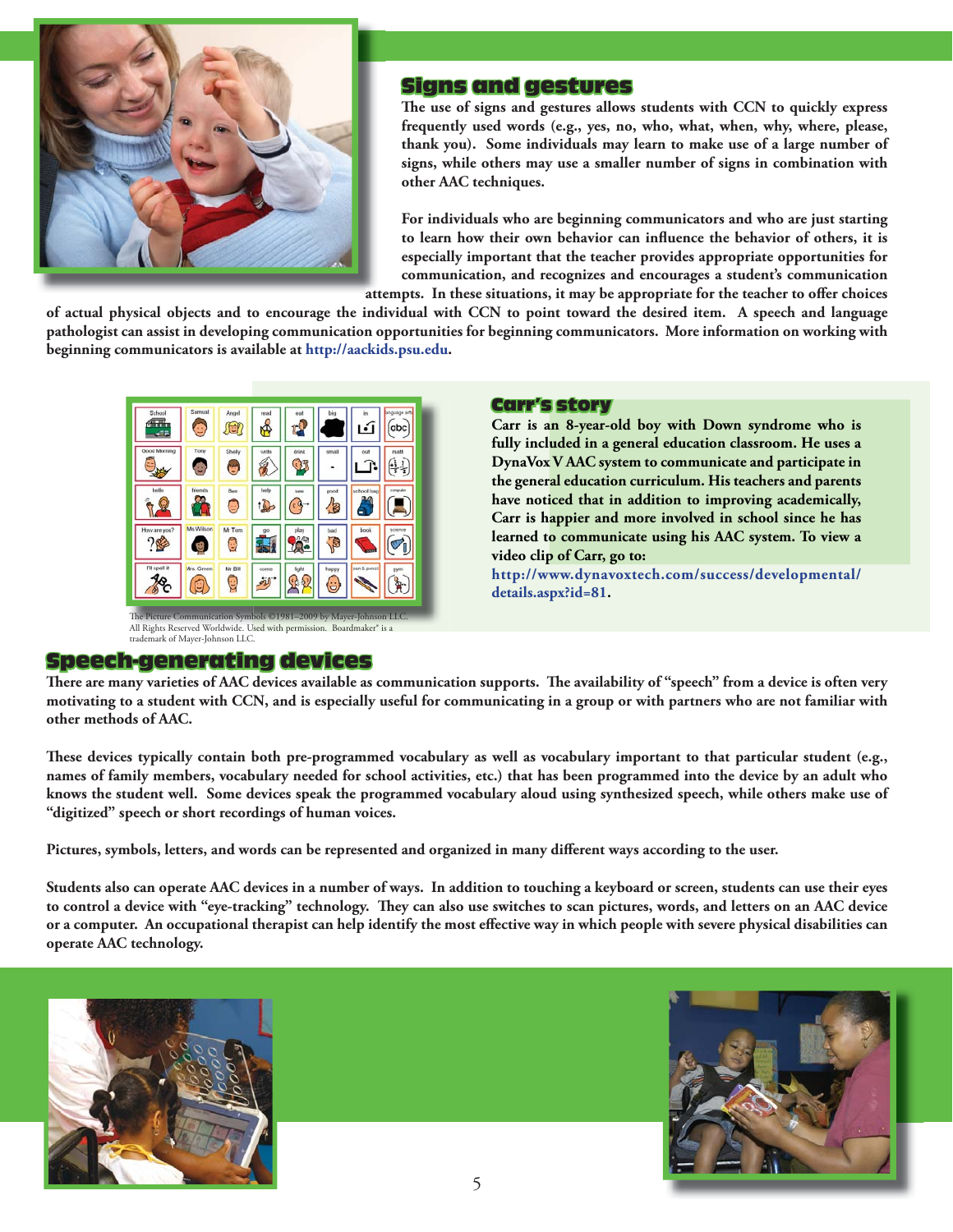

### Signs and gestures

The use of signs and gestures allows students with CCN to quickly express **frequently used words (e.g., yes, no, who, what, when, why, where, please, thank you). Some individuals may learn to make use of a large number of signs, while others may use a smaller number of signs in combination with other AAC techniques.**

**For individuals who are beginning communicators and who are just starting**  to learn how their own behavior can influence the behavior of others, it is **especially important that the teacher provides appropriate opportunities for communication, and recognizes and encourages a student's communication** 

attempts. In these situations, it may be appropriate for the teacher to offer choices

**of actual physical objects and to encourage the individual with CCN to point toward the desired item. A speech and language pathologist can assist in developing communication opportunities for beginning communicators. More information on working with beginning communicators is available at [http://aackids.psu.edu.](http://aackids.psu.edu)**



The Picture Communication Symbols ©1981–2009 by Mayer-Johnson LLC.<br>All Rights Reserved Worldwide. U<mark>sed with permission. Boardmaker® is a</mark> trademark of Mayer-Johnson LLC.

### Speech-generating devices

### Carr's story

**Carr is an 8-year-old boy with Down syndrome who is fully included in a general education classroom. He uses a DynaVox V AAC system to communicate and participate in the general education curriculum. His teachers and parents have noticed that in addition to improving academically, Carr is happier and more involved in school since he has learned to communicate using his AAC system. To view a video clip of Carr, go to:** 

**[http://www.dynavoxtech.com/success/developmental/](http://www.dynavoxtech.com/success/developmental/details.aspx?id=81) details.aspx?id=81.**

There are many varieties of AAC devices available as communication supports. The availability of "speech" from a device is often very **motivating to a student with CCN, and is especially useful for communicating in a group or with partners who are not familiar with other methods of AAC.**

These devices typically contain both pre-programmed vocabulary as well as vocabulary important to that particular student (e.g., **names of family members, vocabulary needed for school activities, etc.) that has been programmed into the device by an adult who knows the student well. Some devices speak the programmed vocabulary aloud using synthesized speech, while others make use of "digitized" speech or short recordings of human voices.**

Pictures, symbols, letters, and words can be represented and organized in many different ways according to the user.

**Students also can operate AAC devices in a number of ways. In addition to touching a keyboard or screen, students can use their eyes**  to control a device with "eye-tracking" technology. They can also use switches to scan pictures, words, and letters on an AAC device or a computer. An occupational therapist can help identify the most effective way in which people with severe physical disabilities can **operate AAC technology.** 



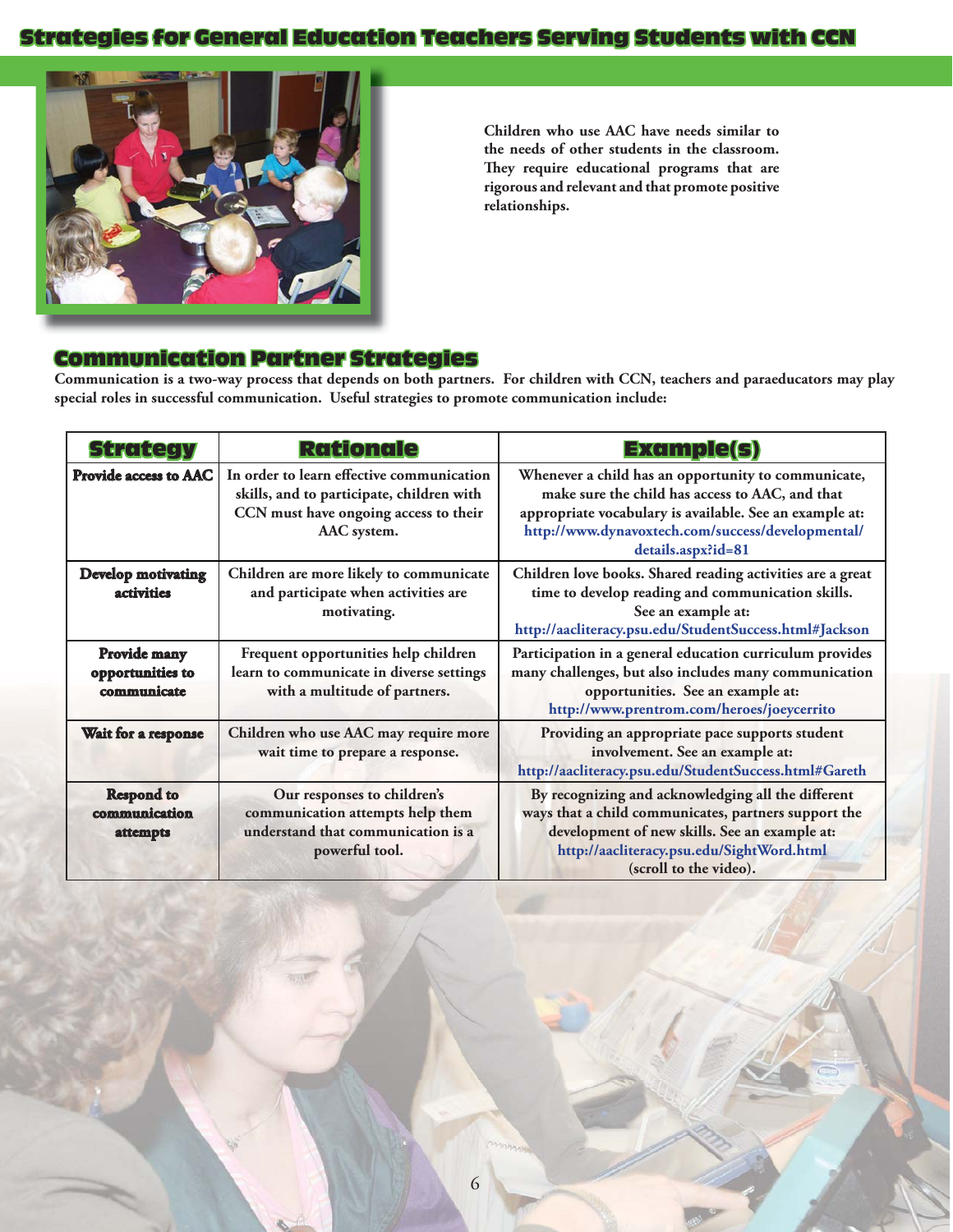### **Strategies for General Education Teachers Serving Students with CCN**



**Children who use AAC have needs similar to the needs of other students in the classroom.**  They require educational programs that are **rigorous and relevant and that promote positive relationships.** 

### Communication Partner Strategies

**Communication is a two-way process that depends on both partners. For children with CCN, teachers and paraeducators may play special roles in successful communication. Useful strategies to promote communication include:**

| <b>Strategy</b>                                 | <b>Rationale</b>                                                                                                                               | <b>Example(s)</b>                                                                                                                                                                                                                            |
|-------------------------------------------------|------------------------------------------------------------------------------------------------------------------------------------------------|----------------------------------------------------------------------------------------------------------------------------------------------------------------------------------------------------------------------------------------------|
| <b>Provide access to AAC</b>                    | In order to learn effective communication<br>skills, and to participate, children with<br>CCN must have ongoing access to their<br>AAC system. | Whenever a child has an opportunity to communicate,<br>make sure the child has access to AAC, and that<br>appropriate vocabulary is available. See an example at:<br>http://www.dynavoxtech.com/success/developmental/<br>details.aspx?id=81 |
| <b>Develop motivating</b><br><i>activities</i>  | Children are more likely to communicate<br>and participate when activities are<br>motivating.                                                  | Children love books. Shared reading activities are a great<br>time to develop reading and communication skills.<br>See an example at:<br>http://aacliteracy.psu.edu/StudentSuccess.html#Jackson                                              |
| Provide many<br>opportunities to<br>communicate | Frequent opportunities help children<br>learn to communicate in diverse settings<br>with a multitude of partners.                              | Participation in a general education curriculum provides<br>many challenges, but also includes many communication<br>opportunities. See an example at:<br>http://www.prentrom.com/heroes/joeycerrito                                         |
| Wait for a response                             | Children who use AAC may require more<br>wait time to prepare a response.                                                                      | Providing an appropriate pace supports student<br>involvement. See an example at:<br>http://aacliteracy.psu.edu/StudentSuccess.html#Gareth                                                                                                   |
| <b>Respond to</b><br>communication<br>attempts  | Our responses to children's<br>communication attempts help them<br>understand that communication is a<br>powerful tool.                        | By recognizing and acknowledging all the different<br>ways that a child communicates, partners support the<br>development of new skills. See an example at:<br>http://aacliteracy.psu.edu/SightWord.html<br>(scroll to the video).           |

6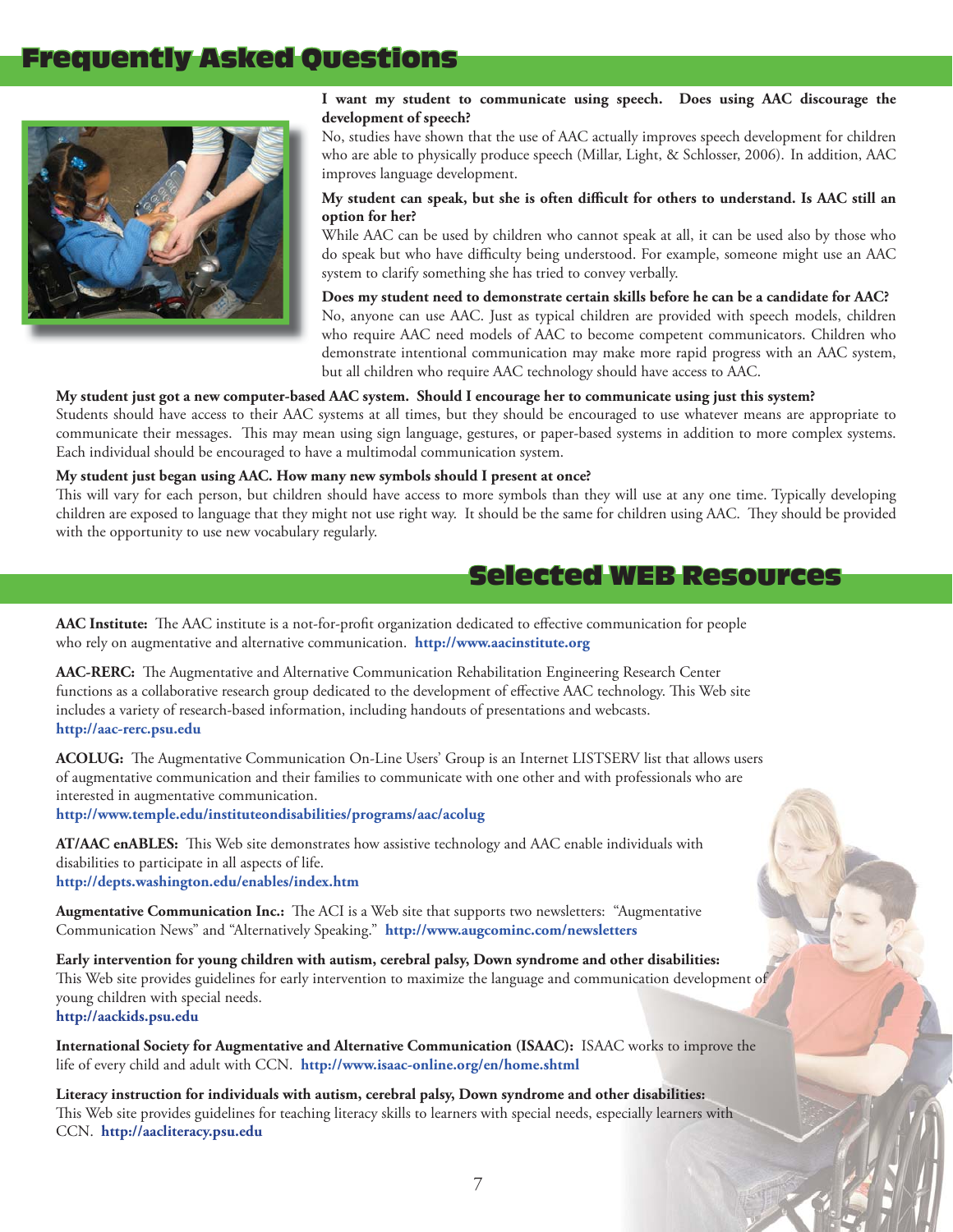### Frequently Asked Questions



#### **I want my student to communicate using speech. Does using AAC discourage the development of speech?**

No, studies have shown that the use of AAC actually improves speech development for children who are able to physically produce speech (Millar, Light, & Schlosser, 2006). In addition, AAC improves language development.

### My student can speak, but she is often difficult for others to understand. Is AAC still an **option for her?**

While AAC can be used by children who cannot speak at all, it can be used also by those who do speak but who have difficulty being understood. For example, someone might use an AAC system to clarify something she has tried to convey verbally.

**Does my student need to demonstrate certain skills before he can be a candidate for AAC?** No, anyone can use AAC. Just as typical children are provided with speech models, children who require AAC need models of AAC to become competent communicators. Children who demonstrate intentional communication may make more rapid progress with an AAC system, but all children who require AAC technology should have access to AAC.

#### **My student just got a new computer-based AAC system. Should I encourage her to communicate using just this system?**

Students should have access to their AAC systems at all times, but they should be encouraged to use whatever means are appropriate to communicate their messages. This may mean using sign language, gestures, or paper-based systems in addition to more complex systems. Each individual should be encouraged to have a multimodal communication system.

#### **My student just began using AAC. How many new symbols should I present at once?**

This will vary for each person, but children should have access to more symbols than they will use at any one time. Typically developing children are exposed to language that they might not use right way. It should be the same for children using AAC. They should be provided with the opportunity to use new vocabulary regularly.

### Selected WEB Resources

AAC Institute: The AAC institute is a not-for-profit organization dedicated to effective communication for people who rely on augmentative and alternative communication. **<http://www.aacinstitute.org>**

AAC-RERC: The Augmentative and Alternative Communication Rehabilitation Engineering Research Center functions as a collaborative research group dedicated to the development of effective AAC technology. This Web site includes a variety of research-based information, including handouts of presentations and webcasts. **<http://aac-rerc.psu.edu>**

ACOLUG: The Augmentative Communication On-Line Users' Group is an Internet LISTSERV list that allows users of augmentative communication and their families to communicate with one other and with professionals who are interested in augmentative communication.

**<http://www.temple.edu/instituteondisabilities/programs/aac/acolug>**

AT/AAC enABLES: This Web site demonstrates how assistive technology and AAC enable individuals with disabilities to participate in all aspects of life. **<http://depts.washington.edu/enables/index.htm>**

Augmentative Communication Inc.: The ACI is a Web site that supports two newsletters: "Augmentative Communication News" and "Alternatively Speaking." **<http://www.augcominc.com/newsletters>**

**Early intervention for young children with autism, cerebral palsy, Down syndrome and other disabilities:**  This Web site provides guidelines for early intervention to maximize the language and communication development of young children with special needs. **<http://aackids.psu.edu>**

**International Society for Augmentative and Alternative Communication (ISAAC):** ISAAC works to improve the life of every child and adult with CCN. **<http://www.isaac-online.org/en/home.shtml>**

**Literacy instruction for individuals with autism, cerebral palsy, Down syndrome and other disabilities:** This Web site provides guidelines for teaching literacy skills to learners with special needs, especially learners with CCN. **<http://aacliteracy.psu.edu>**